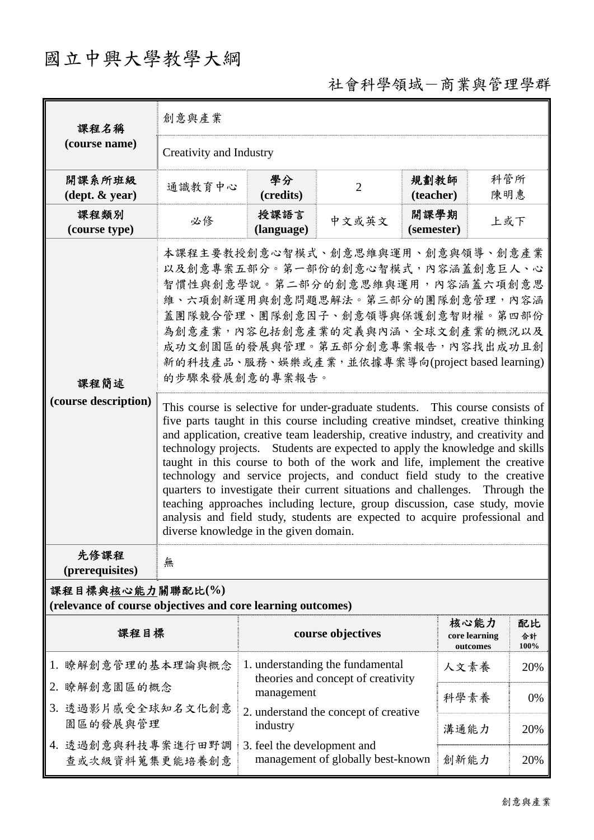## 國立中興大學教學大綱

## 社會科學領域-商業與管理學群

| 課程名稱<br>(course name)                                                           | 創意與產業                                                                                                                                                                                                                                                                                                                                                                                                                                                                                                                                                                                                                                                                                                                                                                                                                                                                                                                                                                                                                                                                                                                |                                                                                                                                                                                                               |                |                    |                                   |                  |  |  |
|---------------------------------------------------------------------------------|----------------------------------------------------------------------------------------------------------------------------------------------------------------------------------------------------------------------------------------------------------------------------------------------------------------------------------------------------------------------------------------------------------------------------------------------------------------------------------------------------------------------------------------------------------------------------------------------------------------------------------------------------------------------------------------------------------------------------------------------------------------------------------------------------------------------------------------------------------------------------------------------------------------------------------------------------------------------------------------------------------------------------------------------------------------------------------------------------------------------|---------------------------------------------------------------------------------------------------------------------------------------------------------------------------------------------------------------|----------------|--------------------|-----------------------------------|------------------|--|--|
|                                                                                 | Creativity and Industry                                                                                                                                                                                                                                                                                                                                                                                                                                                                                                                                                                                                                                                                                                                                                                                                                                                                                                                                                                                                                                                                                              |                                                                                                                                                                                                               |                |                    |                                   |                  |  |  |
| 開課系所班級<br>$(\text{dept.} \& \text{ year})$                                      | 通識教育中心                                                                                                                                                                                                                                                                                                                                                                                                                                                                                                                                                                                                                                                                                                                                                                                                                                                                                                                                                                                                                                                                                                               | 學分<br>(credits)                                                                                                                                                                                               | $\overline{2}$ | 規劃教師<br>(teacher)  | 科管所<br>陳明惠                        |                  |  |  |
| 課程類別<br>(course type)                                                           | 必修                                                                                                                                                                                                                                                                                                                                                                                                                                                                                                                                                                                                                                                                                                                                                                                                                                                                                                                                                                                                                                                                                                                   | 授課語言<br>(language)                                                                                                                                                                                            | 中文或英文          | 開課學期<br>(semester) | 上或下                               |                  |  |  |
| 課程簡述<br>(course description)                                                    | 本課程主要教授創意心智模式、創意思維與運用、創意與領導、創意產業<br>以及創意專案五部分。第一部份的創意心智模式,內容涵蓋創意巨人、心<br>智慣性與創意學說。第二部分的創意思維與運用,內容涵蓋六項創意思<br>維、六項創新運用與創意問題思解法。第三部分的團隊創意管理,內容涵<br>蓋團隊競合管理、團隊創意因子、創意領導與保護創意智財權。第四部份<br>為創意產業,內容包括創意產業的定義與內涵、全球文創產業的概況以及<br>成功文創園區的發展與管理。第五部分創意專案報告,內容找出成功且創<br>新的科技產品、服務、娛樂或產業,並依據專案導向(project based learning)<br>的步驟來發展創意的專案報告。<br>This course is selective for under-graduate students. This course consists of<br>five parts taught in this course including creative mindset, creative thinking<br>and application, creative team leadership, creative industry, and creativity and<br>technology projects. Students are expected to apply the knowledge and skills<br>taught in this course to both of the work and life, implement the creative<br>technology and service projects, and conduct field study to the creative<br>quarters to investigate their current situations and challenges. Through the<br>teaching approaches including lecture, group discussion, case study, movie<br>analysis and field study, students are expected to acquire professional and<br>diverse knowledge in the given domain. |                                                                                                                                                                                                               |                |                    |                                   |                  |  |  |
| 先修課程<br>(prerequisites)                                                         | 無                                                                                                                                                                                                                                                                                                                                                                                                                                                                                                                                                                                                                                                                                                                                                                                                                                                                                                                                                                                                                                                                                                                    |                                                                                                                                                                                                               |                |                    |                                   |                  |  |  |
| 課程目標與核心能力關聯配比(%)<br>(relevance of course objectives and core learning outcomes) |                                                                                                                                                                                                                                                                                                                                                                                                                                                                                                                                                                                                                                                                                                                                                                                                                                                                                                                                                                                                                                                                                                                      |                                                                                                                                                                                                               |                |                    |                                   |                  |  |  |
| 課程目標                                                                            |                                                                                                                                                                                                                                                                                                                                                                                                                                                                                                                                                                                                                                                                                                                                                                                                                                                                                                                                                                                                                                                                                                                      | course objectives                                                                                                                                                                                             |                |                    | 核心能力<br>core learning<br>outcomes | 配比<br>合計<br>100% |  |  |
| 瞭解創意管理的基本理論與概念<br>1.                                                            |                                                                                                                                                                                                                                                                                                                                                                                                                                                                                                                                                                                                                                                                                                                                                                                                                                                                                                                                                                                                                                                                                                                      | 1. understanding the fundamental<br>theories and concept of creativity<br>management<br>2. understand the concept of creative<br>industry<br>3. feel the development and<br>management of globally best-known |                |                    | 人文素養                              | 20%              |  |  |
| 2. 瞭解創意園區的概念<br>3. 透過影片感受全球知名文化創意                                               |                                                                                                                                                                                                                                                                                                                                                                                                                                                                                                                                                                                                                                                                                                                                                                                                                                                                                                                                                                                                                                                                                                                      |                                                                                                                                                                                                               |                |                    | 科學素養                              | 0%               |  |  |
| 園區的發展與管理<br>4. 透過創意與科技專案進行田野調                                                   |                                                                                                                                                                                                                                                                                                                                                                                                                                                                                                                                                                                                                                                                                                                                                                                                                                                                                                                                                                                                                                                                                                                      |                                                                                                                                                                                                               |                |                    | 溝通能力                              | 20%              |  |  |
| 查或次級資料蒐集更能培養創意                                                                  |                                                                                                                                                                                                                                                                                                                                                                                                                                                                                                                                                                                                                                                                                                                                                                                                                                                                                                                                                                                                                                                                                                                      |                                                                                                                                                                                                               |                |                    | 創新能力                              | 20%              |  |  |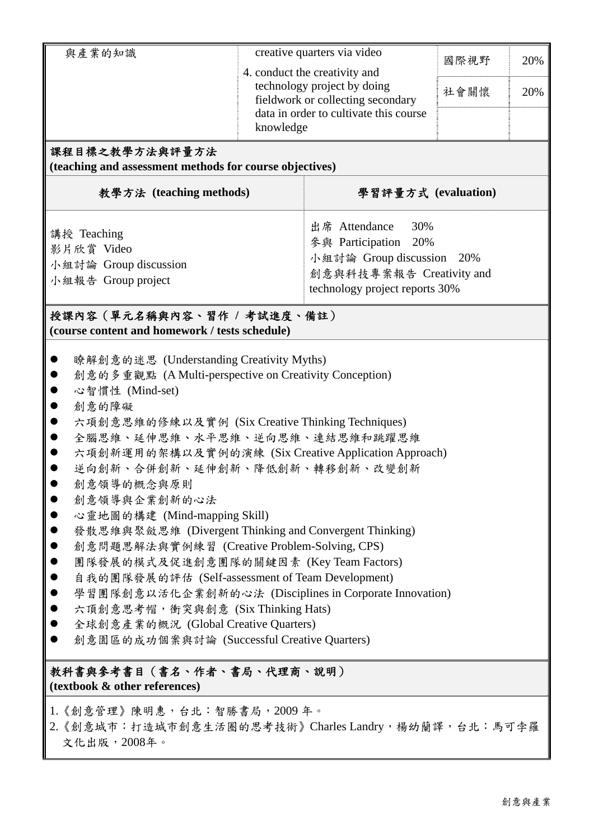| 與產業的知識                                                                                                                                                                                                                               |                               | creative quarters via video            |      |     |  |  |  |  |  |
|--------------------------------------------------------------------------------------------------------------------------------------------------------------------------------------------------------------------------------------|-------------------------------|----------------------------------------|------|-----|--|--|--|--|--|
|                                                                                                                                                                                                                                      | 4. conduct the creativity and |                                        | 國際視野 | 20% |  |  |  |  |  |
|                                                                                                                                                                                                                                      |                               | technology project by doing            |      |     |  |  |  |  |  |
|                                                                                                                                                                                                                                      |                               | fieldwork or collecting secondary      | 社會關懷 | 20% |  |  |  |  |  |
|                                                                                                                                                                                                                                      |                               | data in order to cultivate this course |      |     |  |  |  |  |  |
|                                                                                                                                                                                                                                      | knowledge                     |                                        |      |     |  |  |  |  |  |
| 課程目標之教學方法與評量方法<br>(teaching and assessment methods for course objectives)                                                                                                                                                            |                               |                                        |      |     |  |  |  |  |  |
| 教學方法 (teaching methods)                                                                                                                                                                                                              | 學習評量方式 (evaluation)           |                                        |      |     |  |  |  |  |  |
|                                                                                                                                                                                                                                      |                               | 出席 Attendance<br>30%                   |      |     |  |  |  |  |  |
| 講授 Teaching<br>影片欣賞 Video                                                                                                                                                                                                            |                               | 參與 Participation 20%                   |      |     |  |  |  |  |  |
| 小組討論 Group discussion                                                                                                                                                                                                                |                               | 小組討論 Group discussion 20%              |      |     |  |  |  |  |  |
| 小組報告 Group project                                                                                                                                                                                                                   | 創意與科技專案報告 Creativity and      |                                        |      |     |  |  |  |  |  |
|                                                                                                                                                                                                                                      |                               | technology project reports 30%         |      |     |  |  |  |  |  |
| (course content and homework / tests schedule)<br>瞭解創意的迷思 (Understanding Creativity Myths)<br>創意的多重觀點 (A Multi-perspective on Creativity Conception)<br>心智慣性 (Mind-set)<br>創意的障礙<br>六項創意思維的修練以及實例 (Six Creative Thinking Techniques) |                               |                                        |      |     |  |  |  |  |  |
| 全腦思維、延伸思維、水平思維、逆向思維、連結思維和跳躍思維<br>六項創新運用的架構以及實例的演練 (Six Creative Application Approach)<br>逆向創新、合併創新、延伸創新、降低創新、轉移創新、改變創新                                                                                                               |                               |                                        |      |     |  |  |  |  |  |
| 創意領導的概念與原則<br>創意領導與企業創新的心法                                                                                                                                                                                                           |                               |                                        |      |     |  |  |  |  |  |
| 心靈地圖的構建 (Mind-mapping Skill)                                                                                                                                                                                                         |                               |                                        |      |     |  |  |  |  |  |
| 發散思維與聚斂思維 (Divergent Thinking and Convergent Thinking)                                                                                                                                                                               |                               |                                        |      |     |  |  |  |  |  |
| 創意問題思解法與實例練習 (Creative Problem-Solving, CPS)                                                                                                                                                                                         |                               |                                        |      |     |  |  |  |  |  |
| 團隊發展的模式及促進創意團隊的關鍵因素 (Key Team Factors)<br>$\bullet$                                                                                                                                                                                  |                               |                                        |      |     |  |  |  |  |  |
| 自我的團隊發展的評估 (Self-assessment of Team Development)                                                                                                                                                                                     |                               |                                        |      |     |  |  |  |  |  |
| 學習團隊創意以活化企業創新的心法 (Disciplines in Corporate Innovation)                                                                                                                                                                               |                               |                                        |      |     |  |  |  |  |  |
| 六頂創意思考帽,衝突與創意 (Six Thinking Hats)                                                                                                                                                                                                    |                               |                                        |      |     |  |  |  |  |  |
| 全球創意產業的概況 (Global Creative Quarters)                                                                                                                                                                                                 |                               |                                        |      |     |  |  |  |  |  |
| 創意園區的成功個案與討論 (Successful Creative Quarters)                                                                                                                                                                                          |                               |                                        |      |     |  |  |  |  |  |
| 教科書與參考書目(書名、作者、書局、代理商、說明)                                                                                                                                                                                                            |                               |                                        |      |     |  |  |  |  |  |
| (textbook & other references)                                                                                                                                                                                                        |                               |                                        |      |     |  |  |  |  |  |
| 1.《創意管理》陳明惠,台北:智勝書局,2009年。                                                                                                                                                                                                           |                               |                                        |      |     |  |  |  |  |  |
| 2. 《創意城市:打造城市創意生活圈的思考技術》Charles Landry, 楊幼蘭譯, 台北:馬可孛羅<br>文化出版,2008年。                                                                                                                                                                 |                               |                                        |      |     |  |  |  |  |  |
|                                                                                                                                                                                                                                      |                               |                                        |      |     |  |  |  |  |  |